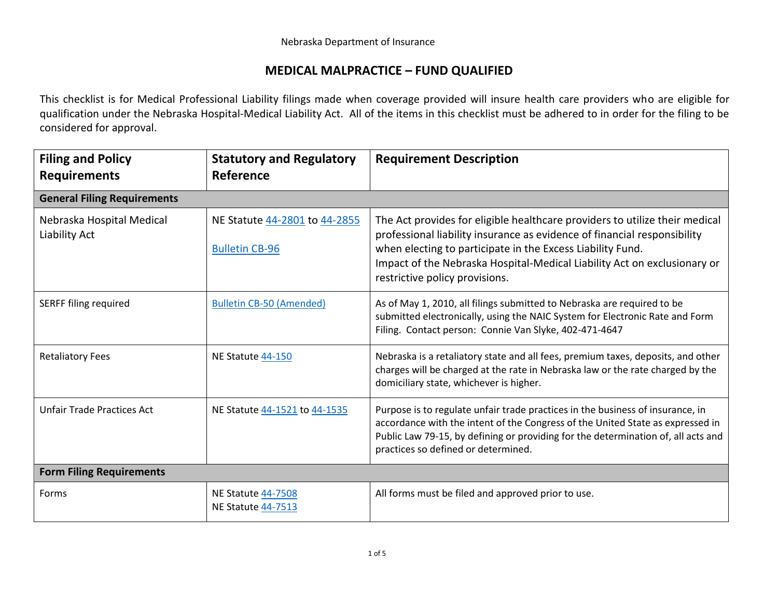## **MEDICAL MALPRACTICE – FUND QUALIFIED**

This checklist is for Medical Professional Liability filings made when coverage provided will insure health care providers who are eligible for qualification under the Nebraska Hospital-Medical Liability Act. All of the items in this checklist must be adhered to in order for the filing to be considered for approval.

| <b>Filing and Policy</b><br><b>Requirements</b> | <b>Statutory and Regulatory</b><br>Reference           | <b>Requirement Description</b>                                                                                                                                                                                                                                                                                                      |
|-------------------------------------------------|--------------------------------------------------------|-------------------------------------------------------------------------------------------------------------------------------------------------------------------------------------------------------------------------------------------------------------------------------------------------------------------------------------|
| <b>General Filing Requirements</b>              |                                                        |                                                                                                                                                                                                                                                                                                                                     |
| Nebraska Hospital Medical<br>Liability Act      | NE Statute 44-2801 to 44-2855<br><b>Bulletin CB-96</b> | The Act provides for eligible healthcare providers to utilize their medical<br>professional liability insurance as evidence of financial responsibility<br>when electing to participate in the Excess Liability Fund.<br>Impact of the Nebraska Hospital-Medical Liability Act on exclusionary or<br>restrictive policy provisions. |
| <b>SERFF filing required</b>                    | <b>Bulletin CB-50 (Amended)</b>                        | As of May 1, 2010, all filings submitted to Nebraska are required to be<br>submitted electronically, using the NAIC System for Electronic Rate and Form<br>Filing. Contact person: Connie Van Slyke, 402-471-4647                                                                                                                   |
| <b>Retaliatory Fees</b>                         | NE Statute 44-150                                      | Nebraska is a retaliatory state and all fees, premium taxes, deposits, and other<br>charges will be charged at the rate in Nebraska law or the rate charged by the<br>domiciliary state, whichever is higher.                                                                                                                       |
| <b>Unfair Trade Practices Act</b>               | NE Statute 44-1521 to 44-1535                          | Purpose is to regulate unfair trade practices in the business of insurance, in<br>accordance with the intent of the Congress of the United State as expressed in<br>Public Law 79-15, by defining or providing for the determination of, all acts and<br>practices so defined or determined.                                        |
| <b>Form Filing Requirements</b>                 |                                                        |                                                                                                                                                                                                                                                                                                                                     |
| Forms                                           | <b>NE Statute 44-7508</b><br><b>NE Statute 44-7513</b> | All forms must be filed and approved prior to use.                                                                                                                                                                                                                                                                                  |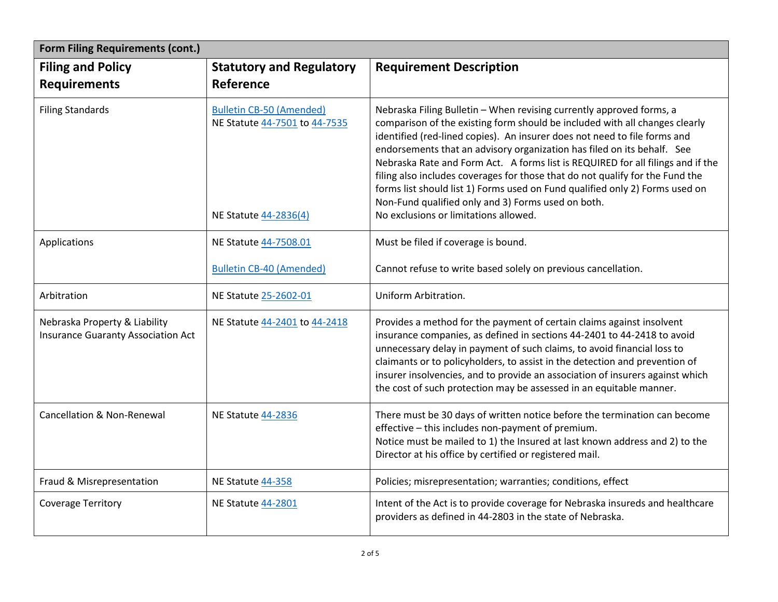| <b>Form Filing Requirements (cont.)</b>                             |                                                                                           |                                                                                                                                                                                                                                                                                                                                                                                                                                                                                                                                                                                                                                                                |
|---------------------------------------------------------------------|-------------------------------------------------------------------------------------------|----------------------------------------------------------------------------------------------------------------------------------------------------------------------------------------------------------------------------------------------------------------------------------------------------------------------------------------------------------------------------------------------------------------------------------------------------------------------------------------------------------------------------------------------------------------------------------------------------------------------------------------------------------------|
| <b>Filing and Policy</b><br><b>Requirements</b>                     | <b>Statutory and Regulatory</b><br>Reference                                              | <b>Requirement Description</b>                                                                                                                                                                                                                                                                                                                                                                                                                                                                                                                                                                                                                                 |
| <b>Filing Standards</b>                                             | <b>Bulletin CB-50 (Amended)</b><br>NE Statute 44-7501 to 44-7535<br>NE Statute 44-2836(4) | Nebraska Filing Bulletin - When revising currently approved forms, a<br>comparison of the existing form should be included with all changes clearly<br>identified (red-lined copies). An insurer does not need to file forms and<br>endorsements that an advisory organization has filed on its behalf. See<br>Nebraska Rate and Form Act. A forms list is REQUIRED for all filings and if the<br>filing also includes coverages for those that do not qualify for the Fund the<br>forms list should list 1) Forms used on Fund qualified only 2) Forms used on<br>Non-Fund qualified only and 3) Forms used on both.<br>No exclusions or limitations allowed. |
| Applications                                                        | NE Statute 44-7508.01                                                                     | Must be filed if coverage is bound.                                                                                                                                                                                                                                                                                                                                                                                                                                                                                                                                                                                                                            |
|                                                                     | <b>Bulletin CB-40 (Amended)</b>                                                           | Cannot refuse to write based solely on previous cancellation.                                                                                                                                                                                                                                                                                                                                                                                                                                                                                                                                                                                                  |
| Arbitration                                                         | NE Statute 25-2602-01                                                                     | Uniform Arbitration.                                                                                                                                                                                                                                                                                                                                                                                                                                                                                                                                                                                                                                           |
| Nebraska Property & Liability<br>Insurance Guaranty Association Act | NE Statute 44-2401 to 44-2418                                                             | Provides a method for the payment of certain claims against insolvent<br>insurance companies, as defined in sections 44-2401 to 44-2418 to avoid<br>unnecessary delay in payment of such claims, to avoid financial loss to<br>claimants or to policyholders, to assist in the detection and prevention of<br>insurer insolvencies, and to provide an association of insurers against which<br>the cost of such protection may be assessed in an equitable manner.                                                                                                                                                                                             |
| <b>Cancellation &amp; Non-Renewal</b>                               | NE Statute 44-2836                                                                        | There must be 30 days of written notice before the termination can become<br>effective - this includes non-payment of premium.<br>Notice must be mailed to 1) the Insured at last known address and 2) to the<br>Director at his office by certified or registered mail.                                                                                                                                                                                                                                                                                                                                                                                       |
| Fraud & Misrepresentation                                           | NE Statute 44-358                                                                         | Policies; misrepresentation; warranties; conditions, effect                                                                                                                                                                                                                                                                                                                                                                                                                                                                                                                                                                                                    |
| <b>Coverage Territory</b>                                           | NE Statute 44-2801                                                                        | Intent of the Act is to provide coverage for Nebraska insureds and healthcare<br>providers as defined in 44-2803 in the state of Nebraska.                                                                                                                                                                                                                                                                                                                                                                                                                                                                                                                     |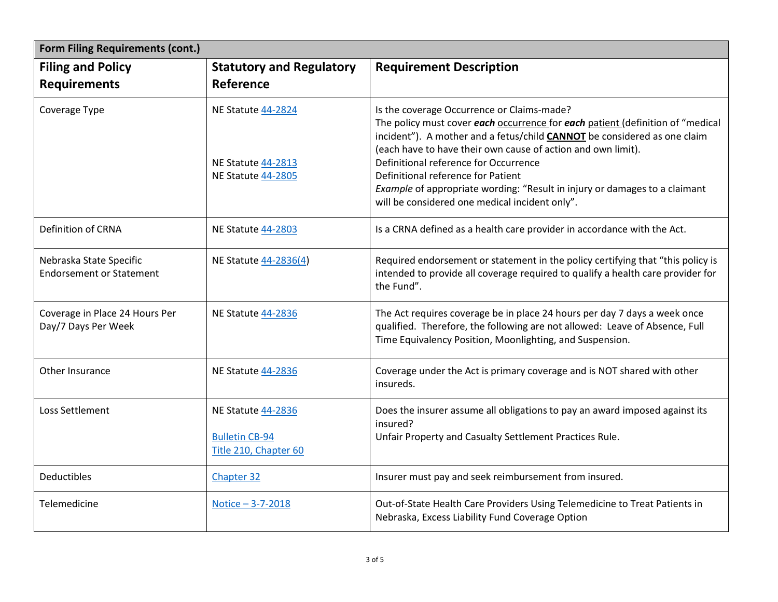| <b>Form Filing Requirements (cont.)</b>                    |                                                                             |                                                                                                                                                                                                                                                                                                                                                                                                                                                                                                |  |
|------------------------------------------------------------|-----------------------------------------------------------------------------|------------------------------------------------------------------------------------------------------------------------------------------------------------------------------------------------------------------------------------------------------------------------------------------------------------------------------------------------------------------------------------------------------------------------------------------------------------------------------------------------|--|
| <b>Filing and Policy</b><br><b>Requirements</b>            | <b>Statutory and Regulatory</b><br>Reference                                | <b>Requirement Description</b>                                                                                                                                                                                                                                                                                                                                                                                                                                                                 |  |
| Coverage Type                                              | NE Statute 44-2824<br>NE Statute 44-2813<br>NE Statute 44-2805              | Is the coverage Occurrence or Claims-made?<br>The policy must cover each occurrence for each patient (definition of "medical<br>incident"). A mother and a fetus/child <b>CANNOT</b> be considered as one claim<br>(each have to have their own cause of action and own limit).<br>Definitional reference for Occurrence<br>Definitional reference for Patient<br>Example of appropriate wording: "Result in injury or damages to a claimant<br>will be considered one medical incident only". |  |
| Definition of CRNA                                         | NE Statute 44-2803                                                          | Is a CRNA defined as a health care provider in accordance with the Act.                                                                                                                                                                                                                                                                                                                                                                                                                        |  |
| Nebraska State Specific<br><b>Endorsement or Statement</b> | NE Statute 44-2836(4)                                                       | Required endorsement or statement in the policy certifying that "this policy is<br>intended to provide all coverage required to qualify a health care provider for<br>the Fund".                                                                                                                                                                                                                                                                                                               |  |
| Coverage in Place 24 Hours Per<br>Day/7 Days Per Week      | NE Statute 44-2836                                                          | The Act requires coverage be in place 24 hours per day 7 days a week once<br>qualified. Therefore, the following are not allowed: Leave of Absence, Full<br>Time Equivalency Position, Moonlighting, and Suspension.                                                                                                                                                                                                                                                                           |  |
| Other Insurance                                            | <b>NE Statute 44-2836</b>                                                   | Coverage under the Act is primary coverage and is NOT shared with other<br>insureds.                                                                                                                                                                                                                                                                                                                                                                                                           |  |
| Loss Settlement                                            | <b>NE Statute 44-2836</b><br><b>Bulletin CB-94</b><br>Title 210, Chapter 60 | Does the insurer assume all obligations to pay an award imposed against its<br>insured?<br>Unfair Property and Casualty Settlement Practices Rule.                                                                                                                                                                                                                                                                                                                                             |  |
| <b>Deductibles</b>                                         | Chapter 32                                                                  | Insurer must pay and seek reimbursement from insured.                                                                                                                                                                                                                                                                                                                                                                                                                                          |  |
| Telemedicine                                               | Notice - 3-7-2018                                                           | Out-of-State Health Care Providers Using Telemedicine to Treat Patients in<br>Nebraska, Excess Liability Fund Coverage Option                                                                                                                                                                                                                                                                                                                                                                  |  |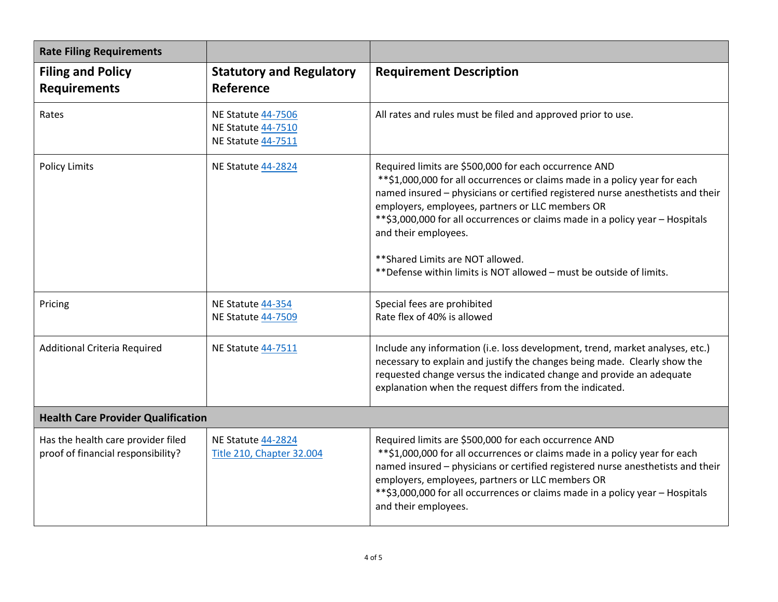| <b>Rate Filing Requirements</b>                                          |                                                                              |                                                                                                                                                                                                                                                                                                                                                                                                                                                                                                    |
|--------------------------------------------------------------------------|------------------------------------------------------------------------------|----------------------------------------------------------------------------------------------------------------------------------------------------------------------------------------------------------------------------------------------------------------------------------------------------------------------------------------------------------------------------------------------------------------------------------------------------------------------------------------------------|
| <b>Filing and Policy</b><br><b>Requirements</b>                          | <b>Statutory and Regulatory</b><br><b>Reference</b>                          | <b>Requirement Description</b>                                                                                                                                                                                                                                                                                                                                                                                                                                                                     |
| Rates                                                                    | <b>NE Statute 44-7506</b><br><b>NE Statute 44-7510</b><br>NE Statute 44-7511 | All rates and rules must be filed and approved prior to use.                                                                                                                                                                                                                                                                                                                                                                                                                                       |
| <b>Policy Limits</b>                                                     | NE Statute 44-2824                                                           | Required limits are \$500,000 for each occurrence AND<br>** \$1,000,000 for all occurrences or claims made in a policy year for each<br>named insured - physicians or certified registered nurse anesthetists and their<br>employers, employees, partners or LLC members OR<br>** \$3,000,000 for all occurrences or claims made in a policy year - Hospitals<br>and their employees.<br>** Shared Limits are NOT allowed.<br>** Defense within limits is NOT allowed - must be outside of limits. |
| Pricing                                                                  | NE Statute 44-354<br><b>NE Statute 44-7509</b>                               | Special fees are prohibited<br>Rate flex of 40% is allowed                                                                                                                                                                                                                                                                                                                                                                                                                                         |
| <b>Additional Criteria Required</b>                                      | NE Statute 44-7511                                                           | Include any information (i.e. loss development, trend, market analyses, etc.)<br>necessary to explain and justify the changes being made. Clearly show the<br>requested change versus the indicated change and provide an adequate<br>explanation when the request differs from the indicated.                                                                                                                                                                                                     |
| <b>Health Care Provider Qualification</b>                                |                                                                              |                                                                                                                                                                                                                                                                                                                                                                                                                                                                                                    |
| Has the health care provider filed<br>proof of financial responsibility? | NE Statute 44-2824<br>Title 210, Chapter 32.004                              | Required limits are \$500,000 for each occurrence AND<br>** \$1,000,000 for all occurrences or claims made in a policy year for each<br>named insured - physicians or certified registered nurse anesthetists and their<br>employers, employees, partners or LLC members OR<br>** \$3,000,000 for all occurrences or claims made in a policy year - Hospitals<br>and their employees.                                                                                                              |